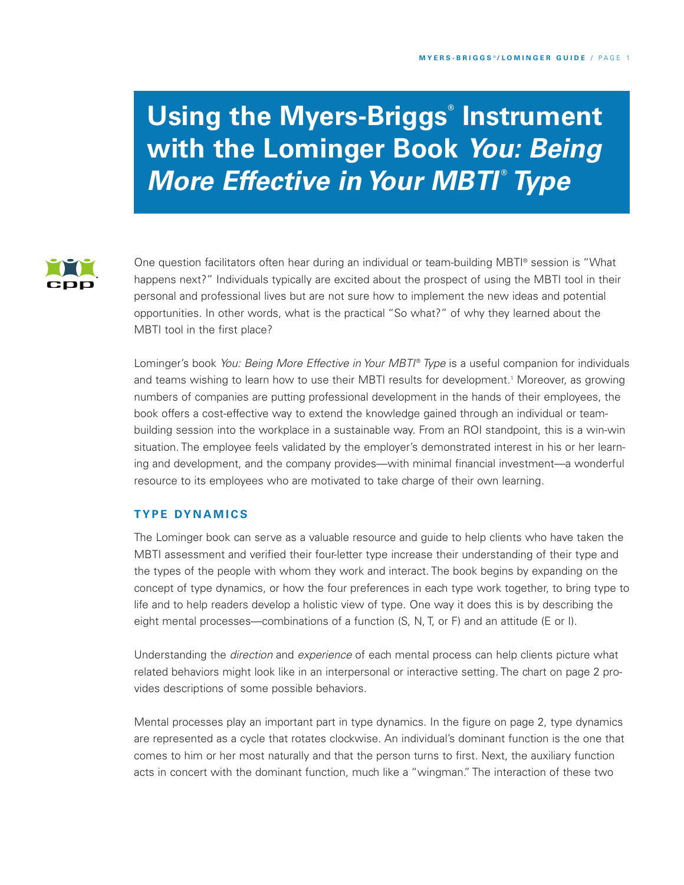# **Using the Myers-Briggs ® Instrument with the Lominger Book** *You: Being* **More Effective in Your MBTI® Type**



One question facilitators often hear during an individual or team-building MBTI ® session is "What happens next?" Individuals typically are excited about the prospect of using the MBTI tool in their personal and professional lives but are not sure how to implement the new ideas and potential opportunities. In other words, what is the practical "So what?" of why they learned about the MBTI tool in the first place?

Lominger's book *You: Being More Effective in Your MBTI* ® *Type* is a useful companion for individuals and teams wishing to learn how to use their MBTI results for development. <sup>1</sup> Moreover, as growing numbers of companies are putting professional development in the hands of their employees, the book offers a cost-effective way to extend the knowledge gained through an individual or teambuilding session into the workplace in a sustainable way. From an ROI standpoint, this is a win-win situation. The employee feels validated by the employer's demonstrated interest in his or her learning and development, and the company provides—with minimal financial investment—a wonderful resource to its employees who are motivated to take charge of their own learning.

# **TYP E DY N A M IC S**

The Lominger book can serve as a valuable resource and guide to help clients who have taken the MBTI assessment and verified their four-letter type increase their understanding of their type and the types of the people with whom they work and interact. The book begins by expanding on the concept of type dynamics, or how the four preferences in each type work together, to bring type to life and to help readers develop a holistic view of type. One way it does this is by describing the eight mental processes—combinations of a function (S, N, T, or F) and an attitude (E or I).

Understanding the *direction* and *experience* of each mental process can help clients picture what related behaviors might look like in an interpersonal or interactive setting. The chart on page 2 provides descriptions of some possible behaviors.

Mental processes play an important part in type dynamics. In the figure on page 2, type dynamics are represented as a cycle that rotates clockwise. An individual's dominant function is the one that comes to him or her most naturally and that the person turns to first. Next, the auxiliary function acts in concert with the dominant function, much like a "wingman." The interaction of these two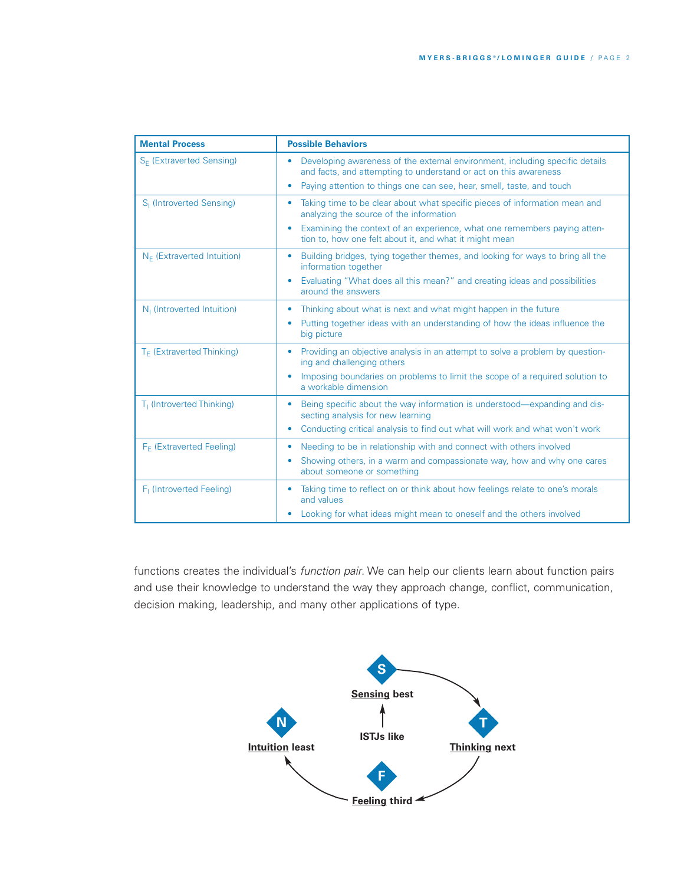| <b>Mental Process</b>                  | <b>Possible Behaviors</b>                                                                                                                                                                                                                                                     |  |  |  |
|----------------------------------------|-------------------------------------------------------------------------------------------------------------------------------------------------------------------------------------------------------------------------------------------------------------------------------|--|--|--|
| S <sub>E</sub> (Extraverted Sensing)   | Developing awareness of the external environment, including specific details<br>$\bullet$<br>and facts, and attempting to understand or act on this awareness<br>Paying attention to things one can see, hear, smell, taste, and touch<br>$\bullet$                           |  |  |  |
| S <sub>I</sub> (Introverted Sensing)   | Taking time to be clear about what specific pieces of information mean and<br>۰<br>analyzing the source of the information<br>Examining the context of an experience, what one remembers paying atten-<br>$\bullet$<br>tion to, how one felt about it, and what it might mean |  |  |  |
| $N_F$ (Extraverted Intuition)          | Building bridges, tying together themes, and looking for ways to bring all the<br>$\bullet$<br>information together<br>Evaluating "What does all this mean?" and creating ideas and possibilities<br>$\bullet$<br>around the answers                                          |  |  |  |
| N <sub>1</sub> (Introverted Intuition) | Thinking about what is next and what might happen in the future<br>$\bullet$<br>Putting together ideas with an understanding of how the ideas influence the<br>۰<br>big picture                                                                                               |  |  |  |
| T <sub>F</sub> (Extraverted Thinking)  | Providing an objective analysis in an attempt to solve a problem by question-<br>$\bullet$<br>ing and challenging others<br>Imposing boundaries on problems to limit the scope of a required solution to<br>a workable dimension                                              |  |  |  |
| T <sub>1</sub> (Introverted Thinking)  | Being specific about the way information is understood—expanding and dis-<br>۰<br>secting analysis for new learning<br>Conducting critical analysis to find out what will work and what won't work<br>$\bullet$                                                               |  |  |  |
| F <sub>F</sub> (Extraverted Feeling)   | Needing to be in relationship with and connect with others involved<br>۰<br>Showing others, in a warm and compassionate way, how and why one cares<br>$\bullet$<br>about someone or something                                                                                 |  |  |  |
| F <sub>1</sub> (Introverted Feeling)   | Taking time to reflect on or think about how feelings relate to one's morals<br>$\bullet$<br>and values<br>Looking for what ideas might mean to oneself and the others involved<br>۰                                                                                          |  |  |  |

functions creates the individual's *function pair*. We can help our clients learn about function pairs and use their knowledge to understand the way they approach change, conflict, communication, decision making, leadership, and many other applications of type.

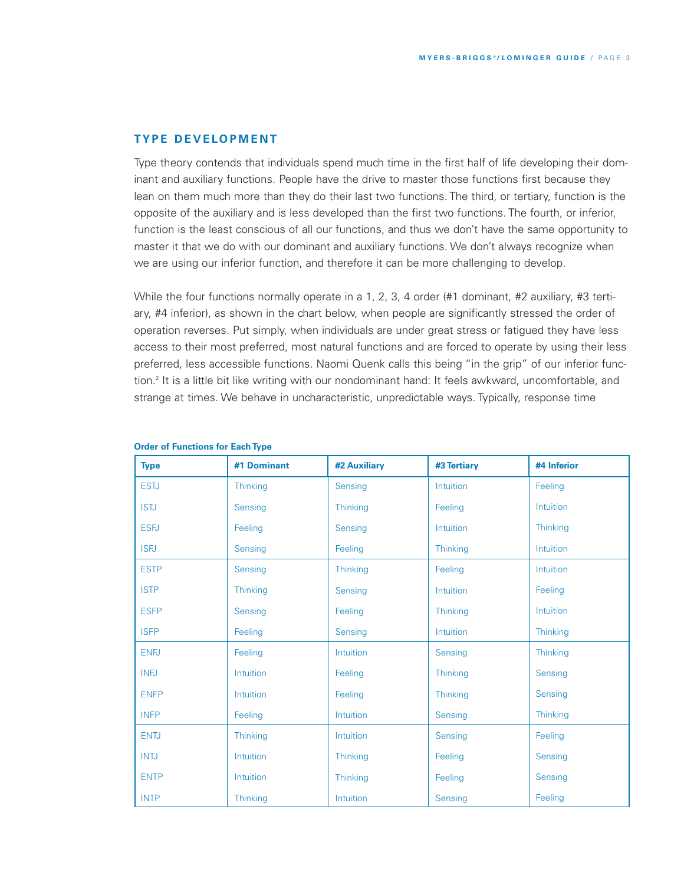# **TY P E D E V E LO P M E N T**

Type theory contends that individuals spend much time in the first half of life developing their dominant and auxiliary functions. People have the drive to master those functions first because they lean on them much more than they do their last two functions. The third, or tertiary, function is the opposite of the auxiliary and is less developed than the first two functions. The fourth, or inferior, function is the least conscious of all our functions, and thus we don't have the same opportunity to master it that we do with our dominant and auxiliary functions. We don't always recognize when we are using our inferior function, and therefore it can be more challenging to develop.

While the four functions normally operate in a 1, 2, 3, 4 order (#1 dominant, #2 auxiliary, #3 tertiary, #4 inferior), as shown in the chart below, when people are significantly stressed the order of operation reverses. Put simply, when individuals are under great stress or fatigued they have less access to their most preferred, most natural functions and are forced to operate by using their less preferred, less accessible functions. Naomi Quenk calls this being "in the grip" of our inferior function. <sup>2</sup> It is a little bit like writing with our nondominant hand: It feels awkward, uncomfortable, and strange at times. We behave in uncharacteristic, unpredictable ways. Typically, response time

| <b>Type</b> | #1 Dominant     | #2 Auxiliary    | #3 Tertiary | #4 Inferior |
|-------------|-----------------|-----------------|-------------|-------------|
| <b>ESTJ</b> | Thinking        | Sensing         | Intuition   | Feeling     |
| <b>ISTJ</b> | Sensing         | <b>Thinking</b> | Feeling     | Intuition   |
| <b>ESFJ</b> | Feeling         | Sensing         | Intuition   | Thinking    |
| <b>ISFJ</b> | Sensing         | Feeling         | Thinking    | Intuition   |
| <b>ESTP</b> | Sensing         | Thinking        | Feeling     | Intuition   |
| <b>ISTP</b> | Thinking        | Sensing         | Intuition   | Feeling     |
| <b>ESFP</b> | Sensing         | Feeling         | Thinking    | Intuition   |
| <b>ISFP</b> | Feeling         | Sensing         | Intuition   | Thinking    |
| <b>ENFJ</b> | Feeling         | Intuition       | Sensing     | Thinking    |
| <b>INFJ</b> | Intuition       | Feeling         | Thinking    | Sensing     |
| <b>ENFP</b> | Intuition       | Feeling         | Thinking    | Sensing     |
| <b>INFP</b> | Feeling         | Intuition       | Sensing     | Thinking    |
| <b>ENTJ</b> | Thinking        | Intuition       | Sensing     | Feeling     |
| <b>INTJ</b> | Intuition       | <b>Thinking</b> | Feeling     | Sensing     |
| <b>ENTP</b> | Intuition       | Thinking        | Feeling     | Sensing     |
| <b>INTP</b> | <b>Thinking</b> | Intuition       | Sensing     | Feeling     |

#### **Order of Functions for Each Type**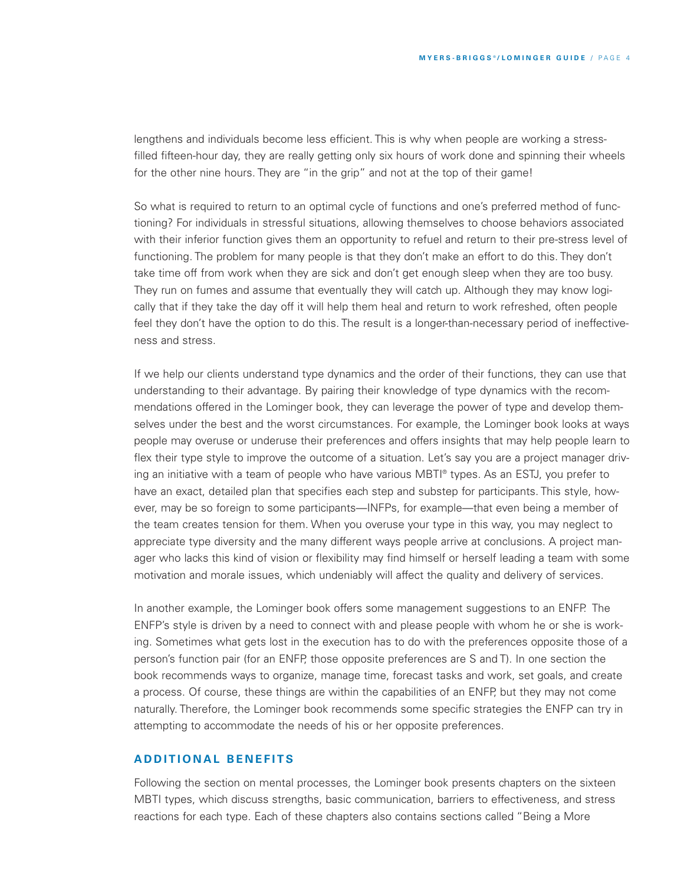lengthens and individuals become less efficient. This is why when people are working a stressfilled fifteen-hour day, they are really getting only six hours of work done and spinning their wheels for the other nine hours. They are "in the grip" and not at the top of their game!

So what is required to return to an optimal cycle of functions and one's preferred method of functioning? For individuals in stressful situations, allowing themselves to choose behaviors associated with their inferior function gives them an opportunity to refuel and return to their pre-stress level of functioning. The problem for many people is that they don't make an effort to do this. They don't take time off from work when they are sick and don't get enough sleep when they are too busy. They run on fumes and assume that eventually they will catch up. Although they may know logically that if they take the day off it will help them heal and return to work refreshed, often people feel they don't have the option to do this. The result is a longer-than-necessary period of ineffectiveness and stress.

If we help our clients understand type dynamics and the order of their functions, they can use that understanding to their advantage. By pairing their knowledge of type dynamics with the recommendations offered in the Lominger book, they can leverage the power of type and develop themselves under the best and the worst circumstances. For example, the Lominger book looks at ways people may overuse or underuse their preferences and offers insights that may help people learn to flex their type style to improve the outcome of a situation. Let's say you are a project manager driving an initiative with a team of people who have various MBTI ® types. As an ESTJ, you prefer to have an exact, detailed plan that specifies each step and substep for participants. This style, however, may be so foreign to some participants—INFPs, for example—that even being a member of the team creates tension for them. When you overuse your type in this way, you may neglect to appreciate type diversity and the many different ways people arrive at conclusions. A project manager who lacks this kind of vision or flexibility may find himself or herself leading a team with some motivation and morale issues, which undeniably will affect the quality and delivery of services.

In another example, the Lominger book offers some management suggestions to an ENFP. The ENFP's style is driven by a need to connect with and please people with whom he or she is working. Sometimes what gets lost in the execution has to do with the preferences opposite those of a person's function pair (for an ENFP, those opposite preferences are S and T). In one section the book recommends ways to organize, manage time, forecast tasks and work, set goals, and create a process. Of course, these things are within the capabilities of an ENFP, but they may not come naturally. Therefore, the Lominger book recommends some specific strategies the ENFP can try in attempting to accommodate the needs of his or her opposite preferences.

# **A D D I T I O N A L B E N E F I T S**

Following the section on mental processes, the Lominger book presents chapters on the sixteen MBTI types, which discuss strengths, basic communication, barriers to effectiveness, and stress reactions for each type. Each of these chapters also contains sections called "Being a More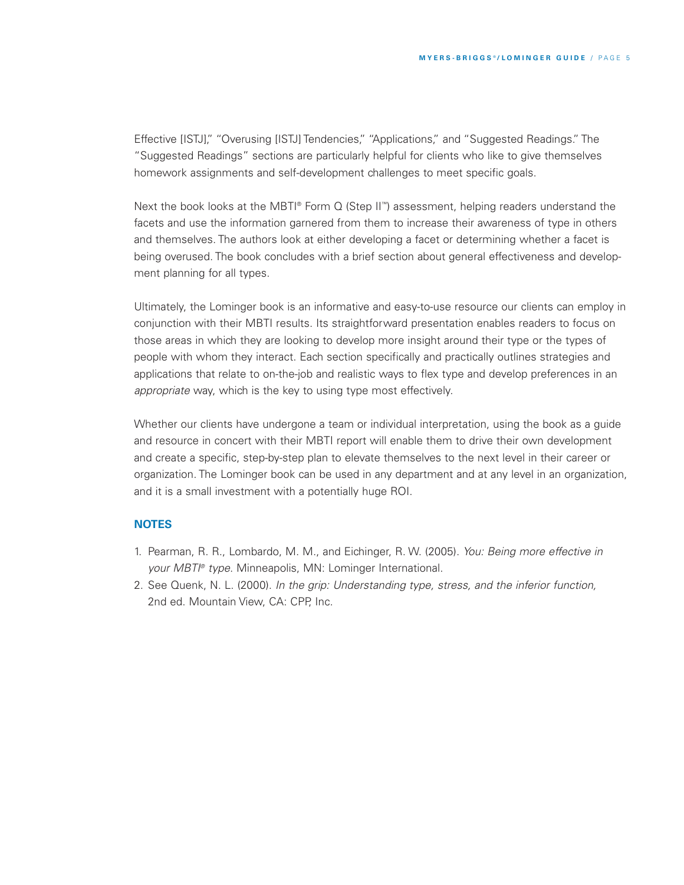Effective [ISTJ]," "Overusing [ISTJ] Tendencies," "Applications," and "Suggested Readings." The "Suggested Readings" sections are particularly helpful for clients who like to give themselves homework assignments and self-development challenges to meet specific goals.

Next the book looks at the MBTI® Form Q (Step II™) assessment, helping readers understand the facets and use the information garnered from them to increase their awareness of type in others and themselves. The authors look at either developing a facet or determining whether a facet is being overused. The book concludes with a brief section about general effectiveness and development planning for all types.

Ultimately, the Lominger book is an informative and easy-to-use resource our clients can employ in conjunction with their MBTI results. Its straightforward presentation enables readers to focus on those areas in which they are looking to develop more insight around their type or the types of people with whom they interact. Each section specifically and practically outlines strategies and applications that relate to on-the-job and realistic ways to flex type and develop preferences in an *appropriate* way, which is the key to using type most effectively.

Whether our clients have undergone a team or individual interpretation, using the book as a guide and resource in concert with their MBTI report will enable them to drive their own development and create a specific, step-by-step plan to elevate themselves to the next level in their career or organization. The Lominger book can be used in any department and at any level in an organization, and it is a small investment with a potentially huge ROI.

### **NOTES**

- 1. Pearman, R. R., Lombardo, M. M., and Eichinger, R. W. (2005). *You: Being more effective in your MBTI ® type*. Minneapolis, MN: Lominger International.
- 2. See Quenk, N. L. (2000). *In the grip: Understanding type, stress, and the inferior function,* 2nd ed. Mountain View, CA: CPP, Inc.